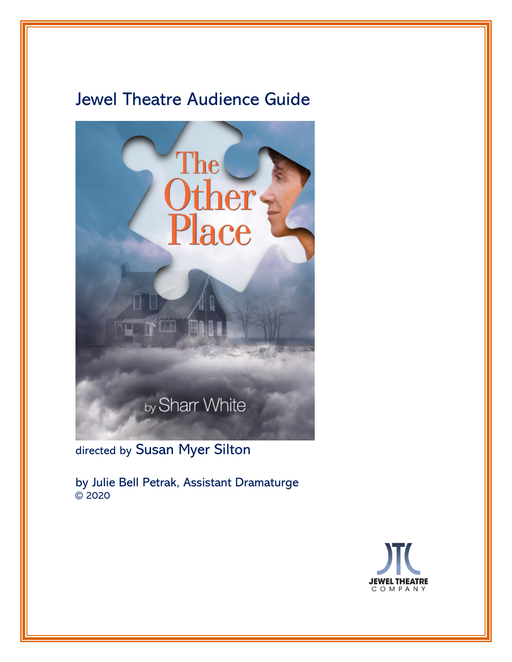# Jewel Theatre Audience Guide



directed by Susan Myer Silton

by Julie Bell Petrak, Assistant Dramaturge © 2020

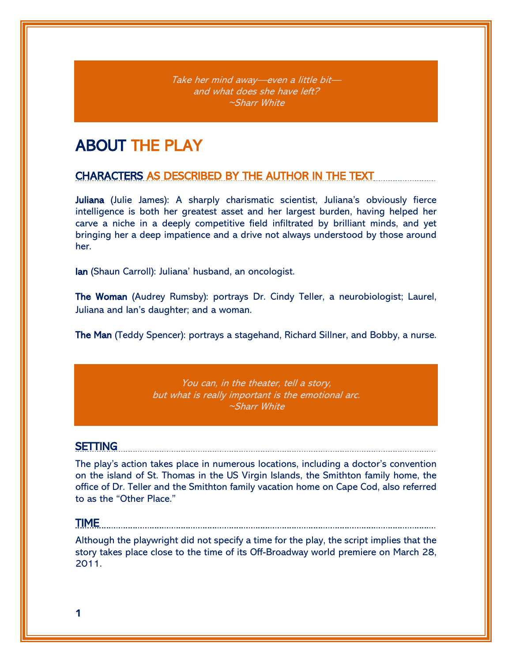Take her mind away—even a little bit and what does she have left? ~Sharr White

# ABOUT THE PLAY

## CHARACTERS AS DESCRIBED BY THE AUTHOR IN THE TEXT

Juliana (Julie James): A sharply charismatic scientist, Juliana's obviously fierce intelligence is both her greatest asset and her largest burden, having helped her carve a niche in a deeply competitive field infiltrated by brilliant minds, and yet bringing her a deep impatience and a drive not always understood by those around her.

Ian (Shaun Carroll): Juliana' husband, an oncologist.

The Woman (Audrey Rumsby): portrays Dr. Cindy Teller, a neurobiologist; Laurel, Juliana and Ian's daughter; and a woman.

The Man (Teddy Spencer): portrays a stagehand, Richard Sillner, and Bobby, a nurse.

You can, in the theater, tell a story, but what is really important is the emotional arc. ~Sharr White

### SETTING

The play's action takes place in numerous locations, including a doctor's convention on the island of St. Thomas in the US Virgin Islands, the Smithton family home, the office of Dr. Teller and the Smithton family vacation home on Cape Cod, also referred to as the "Other Place."

#### TIME

Although the playwright did not specify a time for the play, the script implies that the story takes place close to the time of its Off-Broadway world premiere on March 28, 2011.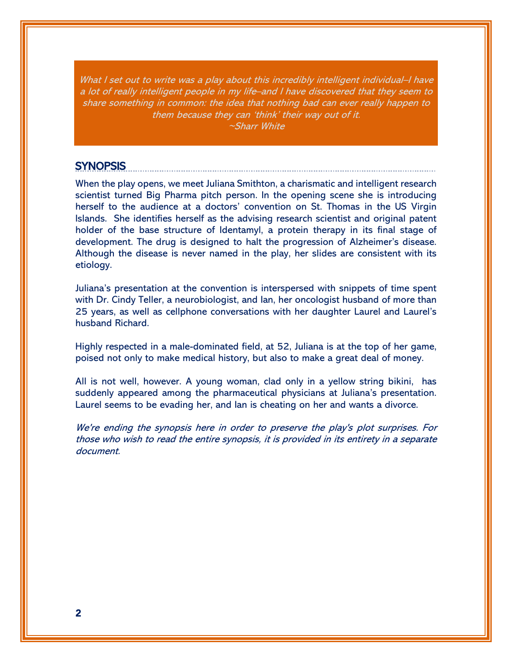What I set out to write was a play about this incredibly intelligent individual–I have a lot of really intelligent people in my life–and I have discovered that they seem to share something in common: the idea that nothing bad can ever really happen to them because they can 'think' their way out of it. ~Sharr White

### SYNOPSIS

When the play opens, we meet Juliana Smithton, a charismatic and intelligent research scientist turned Big Pharma pitch person. In the opening scene she is introducing herself to the audience at a doctors' convention on St. Thomas in the US Virgin Islands. She identifies herself as the advising research scientist and original patent holder of the base structure of Identamyl, a protein therapy in its final stage of development. The drug is designed to halt the progression of Alzheimer's disease. Although the disease is never named in the play, her slides are consistent with its etiology.

Juliana's presentation at the convention is interspersed with snippets of time spent with Dr. Cindy Teller, a neurobiologist, and Ian, her oncologist husband of more than 25 years, as well as cellphone conversations with her daughter Laurel and Laurel's husband Richard.

Highly respected in a male-dominated field, at 52, Juliana is at the top of her game, poised not only to make medical history, but also to make a great deal of money.

All is not well, however. A young woman, clad only in a yellow string bikini, has suddenly appeared among the pharmaceutical physicians at Juliana's presentation. Laurel seems to be evading her, and Ian is cheating on her and wants a divorce.

We're ending the synopsis here in order to preserve the play's plot surprises. For those who wish to read the entire synopsis, it is provided in its entirety in a separate document.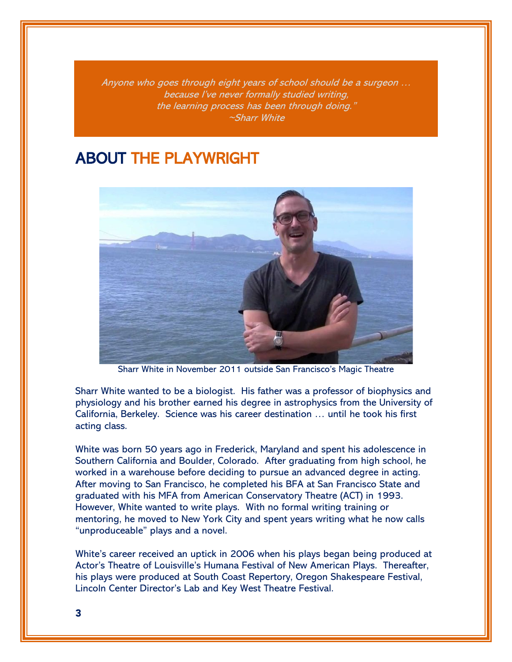Anyone who goes through eight years of school should be a surgeon … because I've never formally studied writing, the learning process has been through doing." ~Sharr White

# ABOUT THE PLAYWRIGHT



Sharr White in November 2011 outside San Francisco's Magic Theatre

Sharr White wanted to be a biologist. His father was a professor of biophysics and physiology and his brother earned his degree in astrophysics from the University of California, Berkeley. Science was his career destination … until he took his first acting class.

White was born 50 years ago in Frederick, Maryland and spent his adolescence in Southern California and Boulder, Colorado. After graduating from high school, he worked in a warehouse before deciding to pursue an advanced degree in acting. After moving to San Francisco, he completed his BFA at San Francisco State and graduated with his MFA from American Conservatory Theatre (ACT) in 1993. However, White wanted to write plays. With no formal writing training or mentoring, he moved to New York City and spent years writing what he now calls "unproduceable" plays and a novel.

White's career received an uptick in 2006 when his plays began being produced at Actor's Theatre of Louisville's Humana Festival of New American Plays. Thereafter, his plays were produced at South Coast Repertory, Oregon Shakespeare Festival, Lincoln Center Director's Lab and Key West Theatre Festival.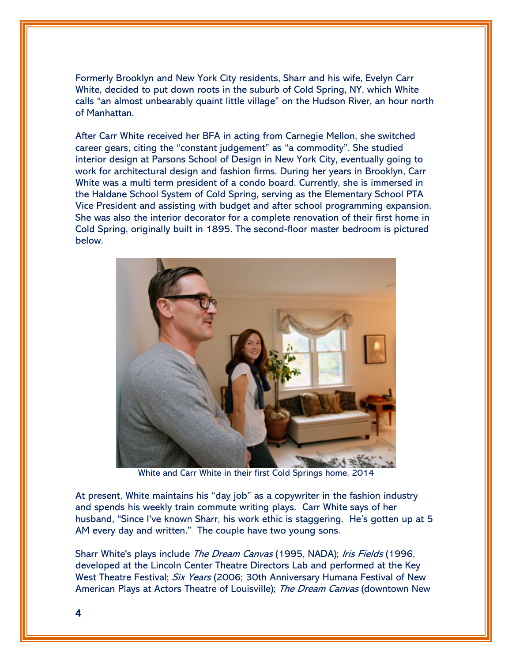Formerly Brooklyn and New York City residents, Sharr and his wife, Evelyn Carr White, decided to put down roots in the suburb of Cold Spring, NY, which White calls "an almost unbearably quaint little village" on the Hudson River, an hour north of Manhattan.

After Carr White received her BFA in acting from Carnegie Mellon, she switched career gears, citing the "constant judgement" as "a commodity". She studied interior design at Parsons School of Design in New York City, eventually going to work for architectural design and fashion firms. During her years in Brooklyn, Carr White was a multi term president of a condo board. Currently, she is immersed in the Haldane School System of Cold Spring, serving as the Elementary School PTA Vice President and assisting with budget and after school programming expansion. She was also the interior decorator for a complete renovation of their first home in Cold Spring, originally built in 1895. The second-floor master bedroom is pictured below.



White and Carr White in their first Cold Springs home, 2014

At present, White maintains his "day job" as a copywriter in the fashion industry and spends his weekly train commute writing plays. Carr White says of her husband, "Since I've known Sharr, his work ethic is staggering. He's gotten up at 5 AM every day and written." The couple have two young sons.

Sharr White's plays include *The Dream Canvas* (1995, NADA); Iris Fields (1996, developed at the Lincoln Center Theatre Directors Lab and performed at the Key West Theatre Festival; *Six Years* (2006; 30th Anniversary Humana Festival of New American Plays at Actors Theatre of Louisville); The Dream Canvas (downtown New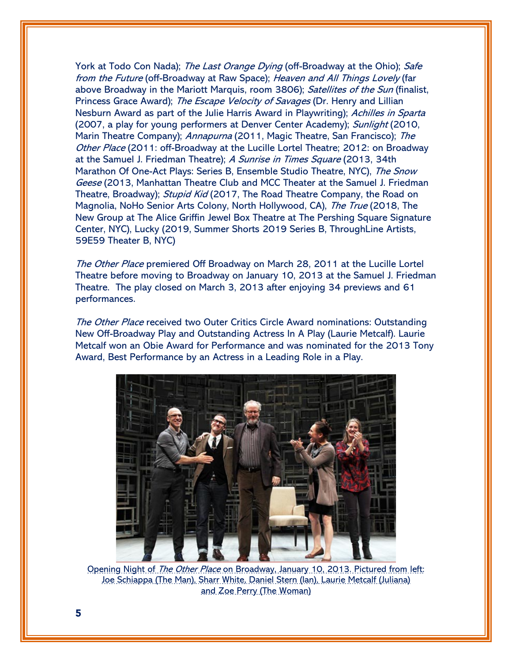York at Todo Con Nada); The Last Orange Dying (off-Broadway at the Ohio); Safe from the Future (off-Broadway at Raw Space); Heaven and All Things Lovely (far above Broadway in the Mariott Marquis, room 3806); Satellites of the Sun (finalist, Princess Grace Award); The Escape Velocity of Savages (Dr. Henry and Lillian Nesburn Award as part of the Julie Harris Award in Playwriting); Achilles in Sparta (2007, a play for young performers at Denver Center Academy); Sunlight (2010, Marin Theatre Company); Annapurna (2011, Magic Theatre, San Francisco); The Other Place (2011: off-Broadway at the Lucille Lortel Theatre; 2012: on Broadway at the Samuel J. Friedman Theatre); A Sunrise in Times Square (2013, 34th Marathon Of One-Act Plays: Series B, Ensemble Studio Theatre, NYC), The Snow Geese (2013, Manhattan Theatre Club and MCC Theater at the Samuel J. Friedman Theatre, Broadway); *Stupid Kid* (2017, The Road Theatre Company, the Road on Magnolia, NoHo Senior Arts Colony, North Hollywood, CA), The True (2018, The New Group at The Alice Griffin Jewel Box Theatre at The Pershing Square Signature Center, NYC), Lucky (2019, Summer Shorts 2019 Series B, ThroughLine Artists, 59E59 Theater B, NYC)

The Other Place premiered Off Broadway on March 28, 2011 at the Lucille Lortel Theatre before moving to Broadway on January 10, 2013 at the Samuel J. Friedman Theatre. The play closed on March 3, 2013 after enjoying 34 previews and 61 performances.

The Other Place received two Outer Critics Circle Award nominations: Outstanding New Off-Broadway Play and Outstanding Actress In A Play (Laurie Metcalf). Laurie Metcalf won an Obie Award for Performance and was nominated for the 2013 Tony Award, Best Performance by an Actress in a Leading Role in a Play.



Opening Night of The Other Place on Broadway, January 10, 2013. Pictured from left: Joe Schiappa (The Man), Sharr White, Daniel Stern (Ian), Laurie Metcalf (Juliana) and Zoe Perry (The Woman)